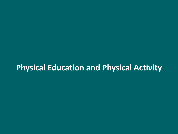# **Physical Education and Physical Activity**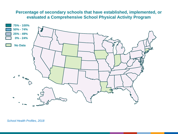## **Percentage of secondary schools that have established, implemented, or evaluated a Comprehensive School Physical Activity Program**

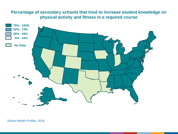# **Percentage of secondary schools that tried to increase student knowledge on physical activity and fitness in a required course**

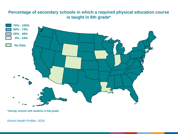# **Percentage of secondary schools in which a required physical education course is taught in 6th grade\***



**\*Among schools with students in that grade.**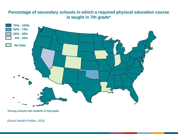# **Percentage of secondary schools in which a required physical education course is taught in 7th grade\***



**\*Among schools with students in that grade.**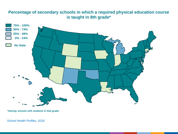# **Percentage of secondary schools in which a required physical education course is taught in 8th grade\***



**\*Among schools with students in that grade.**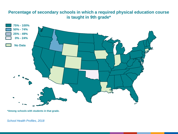# **Percentage of secondary schools in which a required physical education course is taught in 9th grade\***



**\*Among schools with students in that grade.**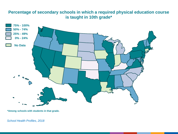# **Percentage of secondary schools in which a required physical education course is taught in 10th grade\***



**\*Among schools with students in that grade.**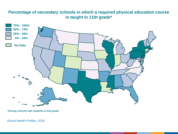# **Percentage of secondary schools in which a required physical education course is taught in 11th grade\***



**\*Among schools with students in that grade.**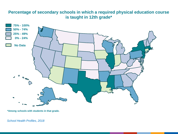# **Percentage of secondary schools in which a required physical education course is taught in 12th grade\***



**\*Among schools with students in that grade.**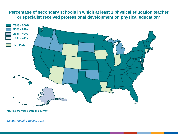# **Percentage of secondary schools in which at least 1 physical education teacher or specialist received professional development on physical education\***



**\*During the year before the survey.**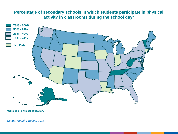# **Percentage of secondary schools in which students participate in physical activity in classrooms during the school day\***



**\*Outside of physical education.**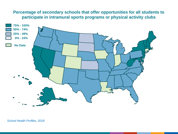# **Percentage of secondary schools that offer opportunities for all students to participate in intramural sports programs or physical activity clubs**

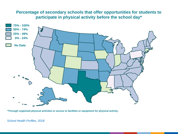# **Percentage of secondary schools that offer opportunities for students to participate in physical activity before the school day\***



**\*Through organized physical activities or access to facilities or equipment for physical activity.**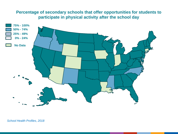# **Percentage of secondary schools that offer opportunities for students to participate in physical activity after the school day**